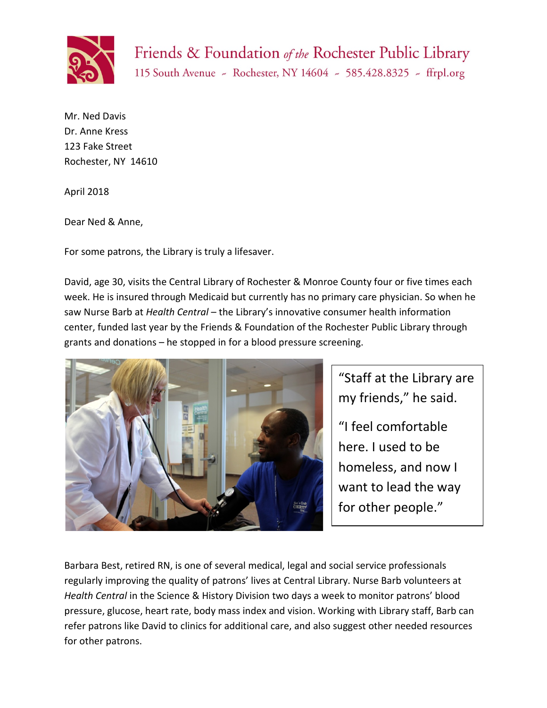

Friends & Foundation of the Rochester Public Library

115 South Avenue - Rochester, NY 14604 - 585.428.8325 - ffrpl.org

Mr. Ned Davis Dr. Anne Kress 123 Fake Street Rochester, NY 14610

April 2018

Dear Ned & Anne,

For some patrons, the Library is truly a lifesaver.

David, age 30, visits the Central Library of Rochester & Monroe County four or five times each week. He is insured through Medicaid but currently has no primary care physician. So when he saw Nurse Barb at *Health Central* – the Library's innovative consumer health information center, funded last year by the Friends & Foundation of the Rochester Public Library through grants and donations – he stopped in for a blood pressure screening.



"Staff at the Library are my friends," he said.

"I feel comfortable here. I used to be homeless, and now I want to lead the way for other people."

Barbara Best, retired RN, is one of several medical, legal and social service professionals regularly improving the quality of patrons' lives at Central Library. Nurse Barb volunteers at *Health Central* in the Science & History Division two days a week to monitor patrons' blood pressure, glucose, heart rate, body mass index and vision. Working with Library staff, Barb can refer patrons like David to clinics for additional care, and also suggest other needed resources for other patrons.